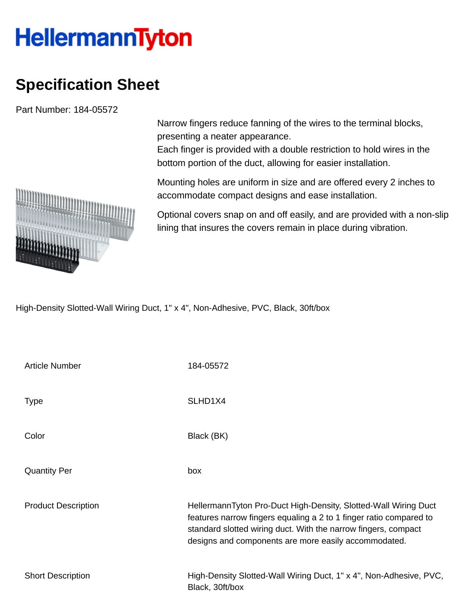## **HellermannTyton**

## **Specification Sheet**

Part Number: 184-05572

Narrow fingers reduce fanning of the wires to the terminal blocks, presenting a neater appearance.

Each finger is provided with a double restriction to hold wires in the bottom portion of the duct, allowing for easier installation.

Mounting holes are uniform in size and are offered every 2 inches to accommodate compact designs and ease installation.

Optional covers snap on and off easily, and are provided with a non-slip lining that insures the covers remain in place during vibration.

High-Density Slotted-Wall Wiring Duct, 1" x 4", Non-Adhesive, PVC, Black, 30ft/box

| <b>Article Number</b>      | 184-05572                                                                                                                                                                                                                                                       |
|----------------------------|-----------------------------------------------------------------------------------------------------------------------------------------------------------------------------------------------------------------------------------------------------------------|
| Type                       | SLHD <sub>1</sub> X4                                                                                                                                                                                                                                            |
| Color                      | Black (BK)                                                                                                                                                                                                                                                      |
| <b>Quantity Per</b>        | box                                                                                                                                                                                                                                                             |
| <b>Product Description</b> | HellermannTyton Pro-Duct High-Density, Slotted-Wall Wiring Duct<br>features narrow fingers equaling a 2 to 1 finger ratio compared to<br>standard slotted wiring duct. With the narrow fingers, compact<br>designs and components are more easily accommodated. |
| <b>Short Description</b>   | High-Density Slotted-Wall Wiring Duct, 1" x 4", Non-Adhesive, PVC,<br>Black, 30ft/box                                                                                                                                                                           |

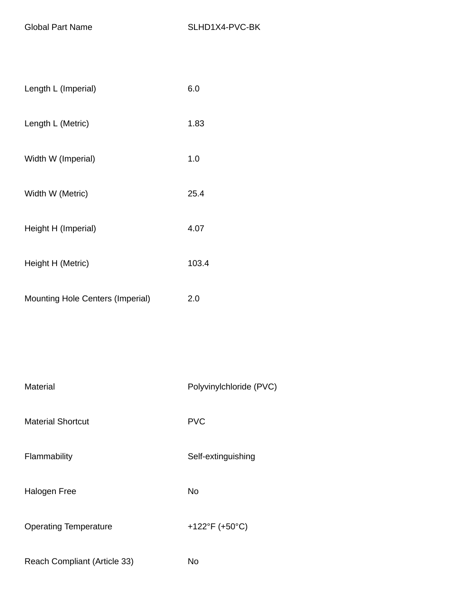| Length L (Imperial)                     | 6.0   |
|-----------------------------------------|-------|
| Length L (Metric)                       | 1.83  |
| Width W (Imperial)                      | 1.0   |
| Width W (Metric)                        | 25.4  |
| Height H (Imperial)                     | 4.07  |
| Height H (Metric)                       | 103.4 |
| <b>Mounting Hole Centers (Imperial)</b> | 2.0   |
|                                         |       |

| Material                     | Polyvinylchloride (PVC) |
|------------------------------|-------------------------|
| <b>Material Shortcut</b>     | <b>PVC</b>              |
| Flammability                 | Self-extinguishing      |
| Halogen Free                 | No                      |
| <b>Operating Temperature</b> | +122°F (+50°C)          |
| Reach Compliant (Article 33) | No                      |